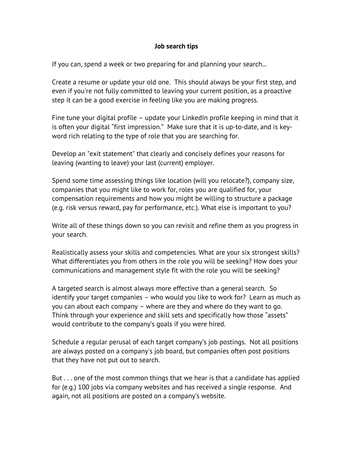## **Job search tips**

If you can, spend a week or two preparing for and planning your search...

Create a resume or update your old one. This should always be your first step, and even if you're not fully committed to leaving your current position, as a proactive step it can be a good exercise in feeling like you are making progress.

Fine tune your digital profile – update your LinkedIn profile keeping in mind that it is often your digital "first impression." Make sure that it is up-to-date, and is keyword rich relating to the type of role that you are searching for.

Develop an "exit statement" that clearly and concisely defines your reasons for leaving (wanting to leave) your last (current) employer.

Spend some time assessing things like location (will you relocate?), company size, companies that you might like to work for, roles you are qualified for, your compensation requirements and how you might be willing to structure a package (e.g. risk versus reward, pay for performance, etc.). What else is important to you?

Write all of these things down so you can revisit and refine them as you progress in your search.

Realistically assess your skills and competencies. What are your six strongest skills? What differentiates you from others in the role you will be seeking? How does your communications and management style fit with the role you will be seeking?

A targeted search is almost always more effective than a general search. So identify your target companies – who would you like to work for? Learn as much as you can about each company – where are they and where do they want to go. Think through your experience and skill sets and specifically how those "assets" would contribute to the company's goals if you were hired.

Schedule a regular perusal of each target company's job postings. Not all positions are always posted on a company's job board, but companies often post positions that they have not put out to search.

But . . . one of the most common things that we hear is that a candidate has applied for (e.g.) 100 jobs via company websites and has received a single response. And again, not all positions are posted on a company's website.